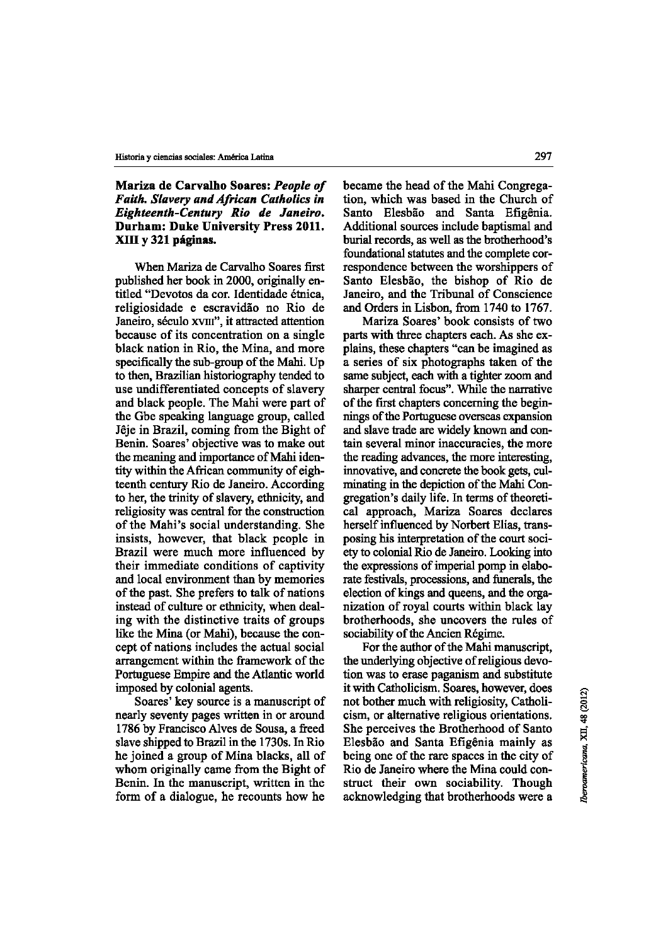## Mariza de Carvalho Soares: *Peop/e of Faith. Slavery and African Catho/ics in Eighteenth-Century Rio de Janeiro.*  Durham: Duke University Press 2011. XIII y 321 paginas.

When Mariza de Carvalho Soares first published her book in 2000, originally entitled "Devotos da cor. Identidade étnica, religiosidade e escravidão no Rio de Janeiro, século xvIII", it attracted attention because of its concentration on a single black nation in Rio, the Mina, and more specifically the sub-group of the Mahi. Up to then, Brazilian historiography tended to use undifferentiated concepts of slavery and black people. The Mahi were part of the Gbe speaking language group, called Jeje in Brazil, coming from the Bight of Benin. Soares' objective was to make out the meaning and importance of Mahl identity within the African community of eighteenth century Rio de Janeiro. According to her, the trinity of slavery, ethnicity, and religiosity was central for the construction of the Mahi 's social understanding. She insists, however, that black people in Brazil were much more influenced by their immediate conditions of captivity and local environment than by memories of the past. She prefers to talk of nations instead of culture or ethnicity, when dealing with the distinctive traits of groups like the Mina (or Mahi), because the concept of nations includes the actual social arrangement within the framework of the Portuguese Empire and the Atlantic world imposed by colonial agents.

Soares' key source is a manuscript of nearly seventy pages written in or around 1786 by Francisco Alves de Sousa, a freed slave shipped to Brazil in the 1730s. In Rio he joined a group of Mina blacks, all of whom originally came from the Bight of Benin. In the manuscript, written in the form of a dialogue, he recounts how he

became the head of the Mahi Congregation, which was based in the Church of Santo Elesbão and Santa Efigênia. Additional sources include baptismal and burial records, as weil as the brotherhood's foundational statutes and the complete correspondence between the worshippers of Santo Elesbäo, the bishop of Rio de Janeiro, and the Tribunal of Conscience and Orders in Lisbon, from 1740 to 1767.

Mariza Soares' book consists of two parts with three chapters each. As she explains, these chapters "can be imagined as a series of six photographs taken of the same subject, each with a tighter zoom and sharper central focus". While the narrative of the first chapters concerning the beginnings of the Portuguese overseas expansion and slave trade are widely known and contain several minor inaccuracies, the more the reading advances, the more interesting, innovative, and concrete the book gets, culminating in the depiction of the Mahl Congregation's daily life. In terms of theoretical approach, Mariza Soares declares herself influenced by Norbert Elias, transposing bis interpretation of the court society to colonial Rio de Janeiro. Looking into the expressions of imperial pomp in elaborate festivals, processions, and funerals, the election of kings and queens, and the organization of royal courts within black lay brotherhoods, she uncovers the rules of sociability of the Ancien Régime.

For the author of the Mahi manuscript, the underlying objective ofreligious devotion was to erase paganism and substitute it with Catholicism. Soares, however, does not bother much with religiosity, Catholicism, or alternative religious orientations. She perceives the Brotherhood of Santo Elesbäo and Santa Efigenia mainly as being one of the rare spaces in the city of Rio de Janeiro where the Mina could construct their own sociability. Though acknowledging that brotherhoods were a